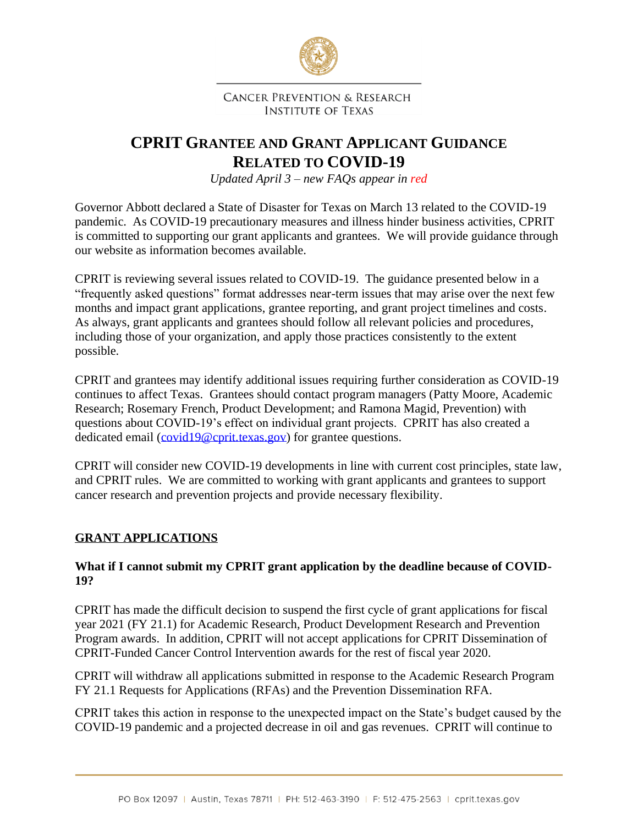

**CANCER PREVENTION & RESEARCH INSTITUTE OF TEXAS** 

# **CPRIT GRANTEE AND GRANT APPLICANT GUIDANCE RELATED TO COVID-19**

*Updated April 3 – new FAQs appear in red*

Governor Abbott declared a State of Disaster for Texas on March 13 related to the COVID-19 pandemic. As COVID-19 precautionary measures and illness hinder business activities, CPRIT is committed to supporting our grant applicants and grantees. We will provide guidance through our website as information becomes available.

CPRIT is reviewing several issues related to COVID-19. The guidance presented below in a "frequently asked questions" format addresses near-term issues that may arise over the next few months and impact grant applications, grantee reporting, and grant project timelines and costs. As always, grant applicants and grantees should follow all relevant policies and procedures, including those of your organization, and apply those practices consistently to the extent possible.

CPRIT and grantees may identify additional issues requiring further consideration as COVID-19 continues to affect Texas. Grantees should contact program managers (Patty Moore, Academic Research; Rosemary French, Product Development; and Ramona Magid, Prevention) with questions about COVID-19's effect on individual grant projects. CPRIT has also created a dedicated email [\(covid19@cprit.texas.gov\)](mailto:covid19@cprit.texas.gov) for grantee questions.

CPRIT will consider new COVID-19 developments in line with current cost principles, state law, and CPRIT rules. We are committed to working with grant applicants and grantees to support cancer research and prevention projects and provide necessary flexibility.

### **GRANT APPLICATIONS**

#### **What if I cannot submit my CPRIT grant application by the deadline because of COVID-19?**

CPRIT has made the difficult decision to suspend the first cycle of grant applications for fiscal year 2021 (FY 21.1) for Academic Research, Product Development Research and Prevention Program awards. In addition, CPRIT will not accept applications for CPRIT Dissemination of CPRIT-Funded Cancer Control Intervention awards for the rest of fiscal year 2020.

CPRIT will withdraw all applications submitted in response to the Academic Research Program FY 21.1 Requests for Applications (RFAs) and the Prevention Dissemination RFA.

CPRIT takes this action in response to the unexpected impact on the State's budget caused by the COVID-19 pandemic and a projected decrease in oil and gas revenues. CPRIT will continue to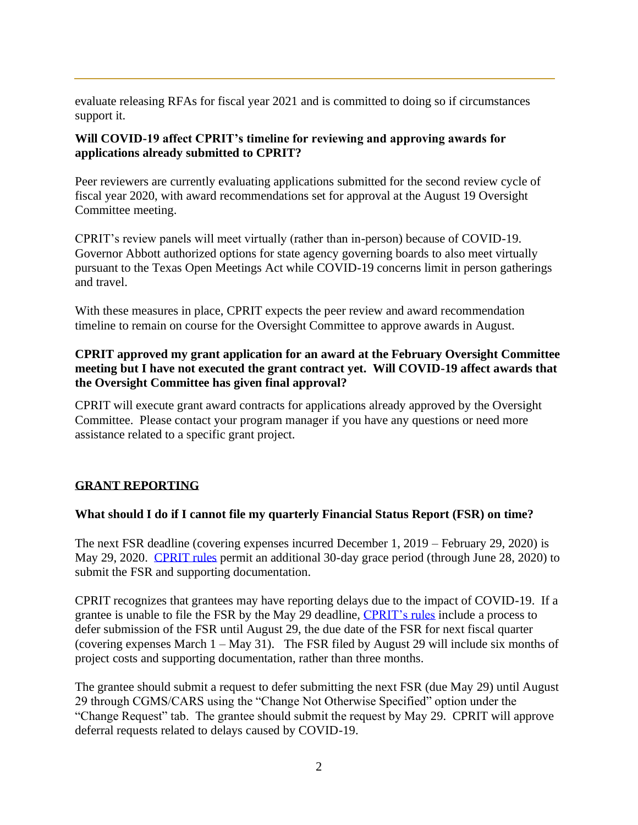evaluate releasing RFAs for fiscal year 2021 and is committed to doing so if circumstances support it.

#### **Will COVID-19 affect CPRIT's timeline for reviewing and approving awards for applications already submitted to CPRIT?**

Peer reviewers are currently evaluating applications submitted for the second review cycle of fiscal year 2020, with award recommendations set for approval at the August 19 Oversight Committee meeting.

CPRIT's review panels will meet virtually (rather than in-person) because of COVID-19. Governor Abbott authorized options for state agency governing boards to also meet virtually pursuant to the Texas Open Meetings Act while COVID-19 concerns limit in person gatherings and travel.

With these measures in place, CPRIT expects the peer review and award recommendation timeline to remain on course for the Oversight Committee to approve awards in August.

### **CPRIT approved my grant application for an award at the February Oversight Committee meeting but I have not executed the grant contract yet. Will COVID-19 affect awards that the Oversight Committee has given final approval?**

CPRIT will execute grant award contracts for applications already approved by the Oversight Committee. Please contact your program manager if you have any questions or need more assistance related to a specific grant project.

### **GRANT REPORTING**

### **What should I do if I cannot file my quarterly Financial Status Report (FSR) on time?**

The next FSR deadline (covering expenses incurred December 1, 2019 – February 29, 2020) is May 29, 2020. [CPRIT rules](https://texreg.sos.state.tx.us/public/readtac$ext.TacPage?sl=R&app=9&p_dir=&p_rloc=&p_tloc=&p_ploc=&pg=1&p_tac=&ti=25&pt=11&ch=703&rl=24) permit an additional 30-day grace period (through June 28, 2020) to submit the FSR and supporting documentation.

CPRIT recognizes that grantees may have reporting delays due to the impact of COVID-19. If a grantee is unable to file the FSR by the May 29 deadline, [CPRIT's rules](https://texreg.sos.state.tx.us/public/readtac$ext.TacPage?sl=R&app=9&p_dir=&p_rloc=&p_tloc=&p_ploc=&pg=1&p_tac=&ti=25&pt=11&ch=703&rl=24) include a process to defer submission of the FSR until August 29, the due date of the FSR for next fiscal quarter (covering expenses March  $1 - May 31$ ). The FSR filed by August 29 will include six months of project costs and supporting documentation, rather than three months.

The grantee should submit a request to defer submitting the next FSR (due May 29) until August 29 through CGMS/CARS using the "Change Not Otherwise Specified" option under the "Change Request" tab. The grantee should submit the request by May 29. CPRIT will approve deferral requests related to delays caused by COVID-19.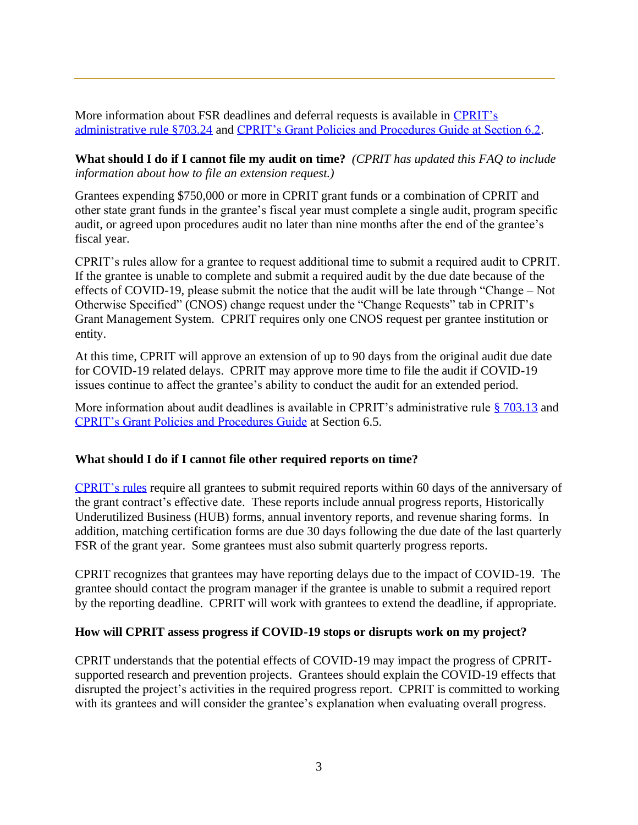More information about FSR deadlines and deferral requests is available in CPRIT's [administrative rule §703.24](https://texreg.sos.state.tx.us/public/readtac$ext.TacPage?sl=R&app=9&p_dir=&p_rloc=&p_tloc=&p_ploc=&pg=1&p_tac=&ti=25&pt=11&ch=703&rl=24) and [CPRIT's Grant Policies and Procedures Guide at Section 6.2.](https://cprit.texas.gov/media/2152/policy_and_procedure_guide_122019.pdf)

**What should I do if I cannot file my audit on time?** *(CPRIT has updated this FAQ to include information about how to file an extension request.)*

Grantees expending \$750,000 or more in CPRIT grant funds or a combination of CPRIT and other state grant funds in the grantee's fiscal year must complete a single audit, program specific audit, or agreed upon procedures audit no later than nine months after the end of the grantee's fiscal year.

CPRIT's rules allow for a grantee to request additional time to submit a required audit to CPRIT. If the grantee is unable to complete and submit a required audit by the due date because of the effects of COVID-19, please submit the notice that the audit will be late through "Change – Not Otherwise Specified" (CNOS) change request under the "Change Requests" tab in CPRIT's Grant Management System. CPRIT requires only one CNOS request per grantee institution or entity.

At this time, CPRIT will approve an extension of up to 90 days from the original audit due date for COVID-19 related delays. CPRIT may approve more time to file the audit if COVID-19 issues continue to affect the grantee's ability to conduct the audit for an extended period.

More information about audit deadlines is available in CPRIT's administrative rule [§ 703.13](https://texreg.sos.state.tx.us/public/readtac$ext.TacPage?sl=R&app=9&p_dir=&p_rloc=&p_tloc=&p_ploc=&pg=1&p_tac=&ti=25&pt=11&ch=703&rl=13) and [CPRIT's Grant Policies and Procedures Guide](https://cprit.texas.gov/media/2152/policy_and_procedure_guide_122019.pdf) at Section 6.5.

#### **What should I do if I cannot file other required reports on time?**

[CPRIT's](https://texreg.sos.state.tx.us/public/readtac$ext.TacPage?sl=R&app=9&p_dir=&p_rloc=&p_tloc=&p_ploc=&pg=1&p_tac=&ti=25&pt=11&ch=703&rl=21) rules require all grantees to submit required reports within 60 days of the anniversary of the grant contract's effective date. These reports include annual progress reports, Historically Underutilized Business (HUB) forms, annual inventory reports, and revenue sharing forms. In addition, matching certification forms are due 30 days following the due date of the last quarterly FSR of the grant year. Some grantees must also submit quarterly progress reports.

CPRIT recognizes that grantees may have reporting delays due to the impact of COVID-19. The grantee should contact the program manager if the grantee is unable to submit a required report by the reporting deadline. CPRIT will work with grantees to extend the deadline, if appropriate.

#### **How will CPRIT assess progress if COVID-19 stops or disrupts work on my project?**

CPRIT understands that the potential effects of COVID-19 may impact the progress of CPRITsupported research and prevention projects. Grantees should explain the COVID-19 effects that disrupted the project's activities in the required progress report. CPRIT is committed to working with its grantees and will consider the grantee's explanation when evaluating overall progress.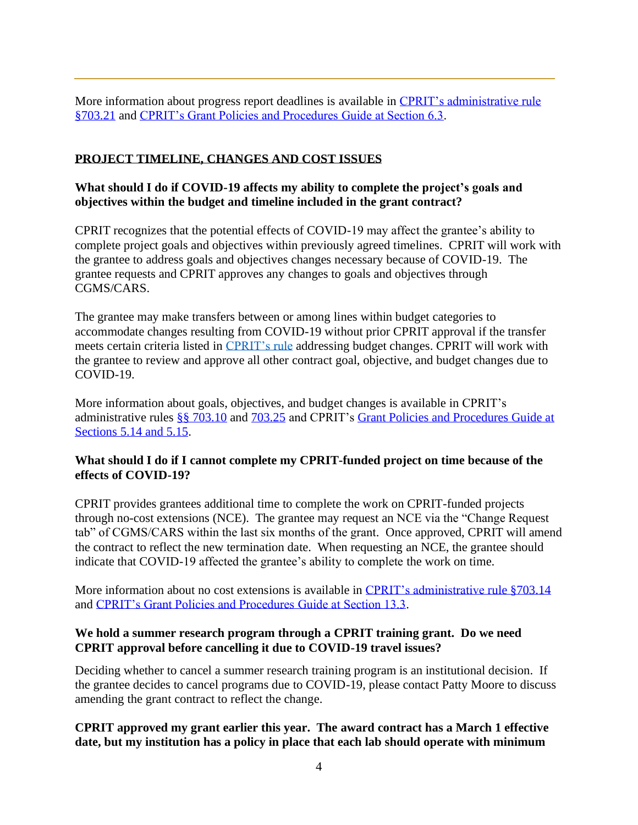More information about progress report deadlines is available in [CPRIT's administrative rule](https://texreg.sos.state.tx.us/public/readtac$ext.TacPage?sl=R&app=9&p_dir=&p_rloc=&p_tloc=&p_ploc=&pg=1&p_tac=&ti=25&pt=11&ch=703&rl=21)  [§703.21](https://texreg.sos.state.tx.us/public/readtac$ext.TacPage?sl=R&app=9&p_dir=&p_rloc=&p_tloc=&p_ploc=&pg=1&p_tac=&ti=25&pt=11&ch=703&rl=21) and [CPRIT's Grant Policies and Procedures Guide at Section 6.3.](https://cprit.texas.gov/media/2152/policy_and_procedure_guide_122019.pdf)

## **PROJECT TIMELINE, CHANGES AND COST ISSUES**

#### **What should I do if COVID-19 affects my ability to complete the project's goals and objectives within the budget and timeline included in the grant contract?**

CPRIT recognizes that the potential effects of COVID-19 may affect the grantee's ability to complete project goals and objectives within previously agreed timelines. CPRIT will work with the grantee to address goals and objectives changes necessary because of COVID-19. The grantee requests and CPRIT approves any changes to goals and objectives through CGMS/CARS.

The grantee may make transfers between or among lines within budget categories to accommodate changes resulting from COVID-19 without prior CPRIT approval if the transfer meets certain criteria listed in [CPRIT's rule](https://texreg.sos.state.tx.us/public/readtac$ext.TacPage?sl=R&app=9&p_dir=&p_rloc=&p_tloc=&p_ploc=&pg=1&p_tac=&ti=25&pt=11&ch=703&rl=25) addressing budget changes. CPRIT will work with the grantee to review and approve all other contract goal, objective, and budget changes due to COVID-19.

More information about goals, objectives, and budget changes is available in CPRIT's administrative rules [§§ 703.10](https://texreg.sos.state.tx.us/public/readtac$ext.TacPage?sl=R&app=9&p_dir=&p_rloc=&p_tloc=&p_ploc=&pg=1&p_tac=&ti=25&pt=11&ch=703&rl=10) and [703.25](https://texreg.sos.state.tx.us/public/readtac$ext.TacPage?sl=R&app=9&p_dir=&p_rloc=&p_tloc=&p_ploc=&pg=1&p_tac=&ti=25&pt=11&ch=703&rl=25) and CPRIT's [Grant Policies and Procedures Guide at](https://cprit.texas.gov/media/2152/policy_and_procedure_guide_122019.pdf)  [Sections 5.14 and 5.15.](https://cprit.texas.gov/media/2152/policy_and_procedure_guide_122019.pdf)

#### **What should I do if I cannot complete my CPRIT-funded project on time because of the effects of COVID-19?**

CPRIT provides grantees additional time to complete the work on CPRIT-funded projects through no-cost extensions (NCE). The grantee may request an NCE via the "Change Request tab" of CGMS/CARS within the last six months of the grant. Once approved, CPRIT will amend the contract to reflect the new termination date. When requesting an NCE, the grantee should indicate that COVID-19 affected the grantee's ability to complete the work on time.

More information about no cost extensions is available in [CPRIT's administrative rule §703.14](https://texreg.sos.state.tx.us/public/readtac$ext.TacPage?sl=R&app=9&p_dir=&p_rloc=&p_tloc=&p_ploc=&pg=1&p_tac=&ti=25&pt=11&ch=703&rl=14) and [CPRIT's Grant Policies and Procedures Guide at Section 13.3.](https://cprit.texas.gov/media/2152/policy_and_procedure_guide_122019.pdf)

#### **We hold a summer research program through a CPRIT training grant. Do we need CPRIT approval before cancelling it due to COVID-19 travel issues?**

Deciding whether to cancel a summer research training program is an institutional decision. If the grantee decides to cancel programs due to COVID-19, please contact Patty Moore to discuss amending the grant contract to reflect the change.

### **CPRIT approved my grant earlier this year. The award contract has a March 1 effective date, but my institution has a policy in place that each lab should operate with minimum**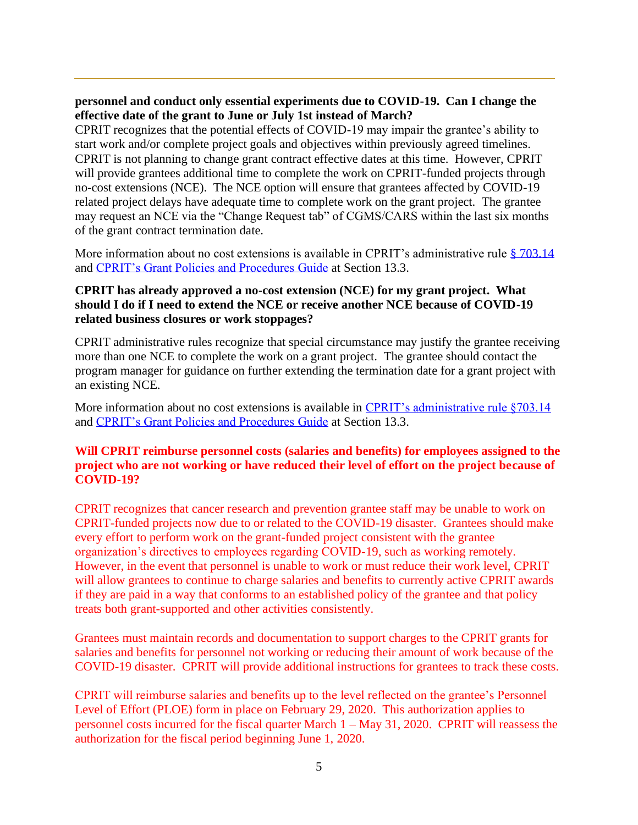#### **personnel and conduct only essential experiments due to COVID-19. Can I change the effective date of the grant to June or July 1st instead of March?**

CPRIT recognizes that the potential effects of COVID-19 may impair the grantee's ability to start work and/or complete project goals and objectives within previously agreed timelines. CPRIT is not planning to change grant contract effective dates at this time. However, CPRIT will provide grantees additional time to complete the work on CPRIT-funded projects through no-cost extensions (NCE). The NCE option will ensure that grantees affected by COVID-19 related project delays have adequate time to complete work on the grant project. The grantee may request an NCE via the "Change Request tab" of CGMS/CARS within the last six months of the grant contract termination date.

More information about no cost extensions is available in CPRIT's administrative rule  $\S 703.14$  $\S 703.14$ and [CPRIT's Grant Policies and Procedures Guide](https://cprit.texas.gov/media/2152/policy_and_procedure_guide_122019.pdf) at Section 13.3.

#### **CPRIT has already approved a no-cost extension (NCE) for my grant project. What should I do if I need to extend the NCE or receive another NCE because of COVID-19 related business closures or work stoppages?**

CPRIT administrative rules recognize that special circumstance may justify the grantee receiving more than one NCE to complete the work on a grant project. The grantee should contact the program manager for guidance on further extending the termination date for a grant project with an existing NCE.

More information about no cost extensions is available in [CPRIT's administrative rule §703.14](https://texreg.sos.state.tx.us/public/readtac$ext.TacPage?sl=R&app=9&p_dir=&p_rloc=&p_tloc=&p_ploc=&pg=1&p_tac=&ti=25&pt=11&ch=703&rl=14) and [CPRIT's Grant Policies and Procedures Guide](https://cprit.texas.gov/media/2152/policy_and_procedure_guide_122019.pdf) at Section 13.3.

#### **Will CPRIT reimburse personnel costs (salaries and benefits) for employees assigned to the project who are not working or have reduced their level of effort on the project because of COVID-19?**

CPRIT recognizes that cancer research and prevention grantee staff may be unable to work on CPRIT-funded projects now due to or related to the COVID-19 disaster. Grantees should make every effort to perform work on the grant-funded project consistent with the grantee organization's directives to employees regarding COVID-19, such as working remotely. However, in the event that personnel is unable to work or must reduce their work level, CPRIT will allow grantees to continue to charge salaries and benefits to currently active CPRIT awards if they are paid in a way that conforms to an established policy of the grantee and that policy treats both grant-supported and other activities consistently.

Grantees must maintain records and documentation to support charges to the CPRIT grants for salaries and benefits for personnel not working or reducing their amount of work because of the COVID-19 disaster. CPRIT will provide additional instructions for grantees to track these costs.

CPRIT will reimburse salaries and benefits up to the level reflected on the grantee's Personnel Level of Effort (PLOE) form in place on February 29, 2020. This authorization applies to personnel costs incurred for the fiscal quarter March 1 – May 31, 2020. CPRIT will reassess the authorization for the fiscal period beginning June 1, 2020.